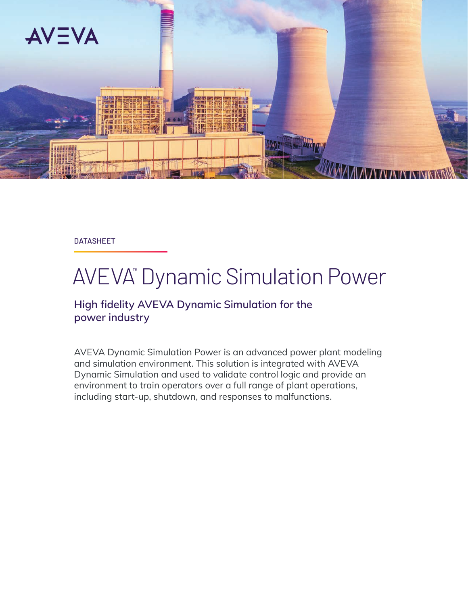

DATASHEET

# AVEVA™ Dynamic Simulation Power

### **High fidelity AVEVA Dynamic Simulation for the power industry**

AVEVA Dynamic Simulation Power is an advanced power plant modeling and simulation environment. This solution is integrated with AVEVA Dynamic Simulation and used to validate control logic and provide an environment to train operators over a full range of plant operations, including start-up, shutdown, and responses to malfunctions.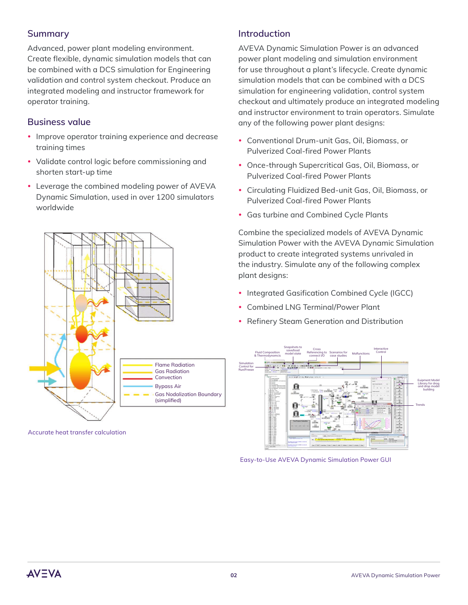#### **Summary**

Advanced, power plant modeling environment. Create flexible, dynamic simulation models that can be combined with a DCS simulation for Engineering validation and control system checkout. Produce an integrated modeling and instructor framework for operator training.

#### **Business value**

- Improve operator training experience and decrease training times
- Validate control logic before commissioning and shorten start-up time
- Leverage the combined modeling power of AVEVA Dynamic Simulation, used in over 1200 simulators worldwide



Accurate heat transfer calculation

#### **Introduction**

AVEVA Dynamic Simulation Power is an advanced power plant modeling and simulation environment for use throughout a plant's lifecycle. Create dynamic simulation models that can be combined with a DCS simulation for engineering validation, control system checkout and ultimately produce an integrated modeling and instructor environment to train operators. Simulate any of the following power plant designs:

- Conventional Drum-unit Gas, Oil, Biomass, or Pulverized Coal-fired Power Plants
- Once-through Supercritical Gas, Oil, Biomass, or Pulverized Coal-fired Power Plants
- Circulating Fluidized Bed-unit Gas, Oil, Biomass, or Pulverized Coal-fired Power Plants
- Gas turbine and Combined Cycle Plants

Combine the specialized models of AVEVA Dynamic Simulation Power with the AVEVA Dynamic Simulation product to create integrated systems unrivaled in the industry. Simulate any of the following complex plant designs:

- Integrated Gasification Combined Cycle (IGCC)
- Combined LNG Terminal/Power Plant
- Refinery Steam Generation and Distribution



Easy-to-Use AVEVA Dynamic Simulation Power GUI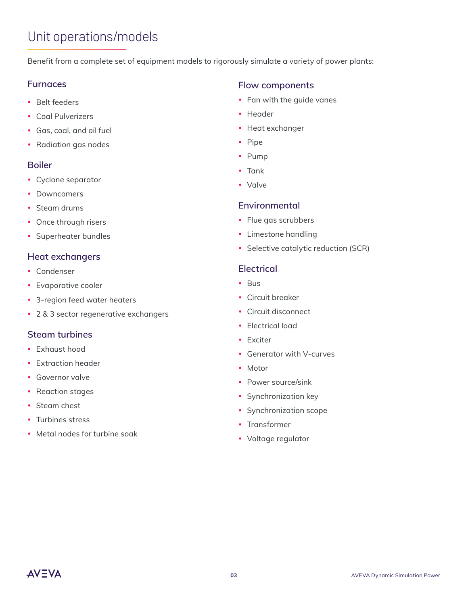## Unit operations/models

Benefit from a complete set of equipment models to rigorously simulate a variety of power plants:

#### **Furnaces**

- Belt feeders
- Coal Pulverizers
- Gas, coal, and oil fuel
- Radiation gas nodes

#### **Boiler**

- Cyclone separator
- Downcomers
- Steam drums
- Once through risers
- Superheater bundles

#### **Heat exchangers**

- Condenser
- Evaporative cooler
- 3-region feed water heaters
- 2 & 3 sector regenerative exchangers

#### **Steam turbines**

- Exhaust hood
- Extraction header
- Governor valve
- Reaction stages
- Steam chest
- Turbines stress
- Metal nodes for turbine soak

#### **Flow components**

- Fan with the quide vanes
- Header
- Heat exchanger
- Pipe
- Pump
- Tank
- y Valve

#### **Environmental**

- Flue gas scrubbers
- Limestone handling
- Selective catalytic reduction (SCR)

#### **Electrical**

- $\cdot$  Bus
- Circuit breaker
- Circuit disconnect
- Electrical load
- Exciter
- Generator with V-curves
- $\bullet$  Motor
- Power source/sink
- Synchronization key
- Synchronization scope
- Transformer
- Voltage regulator